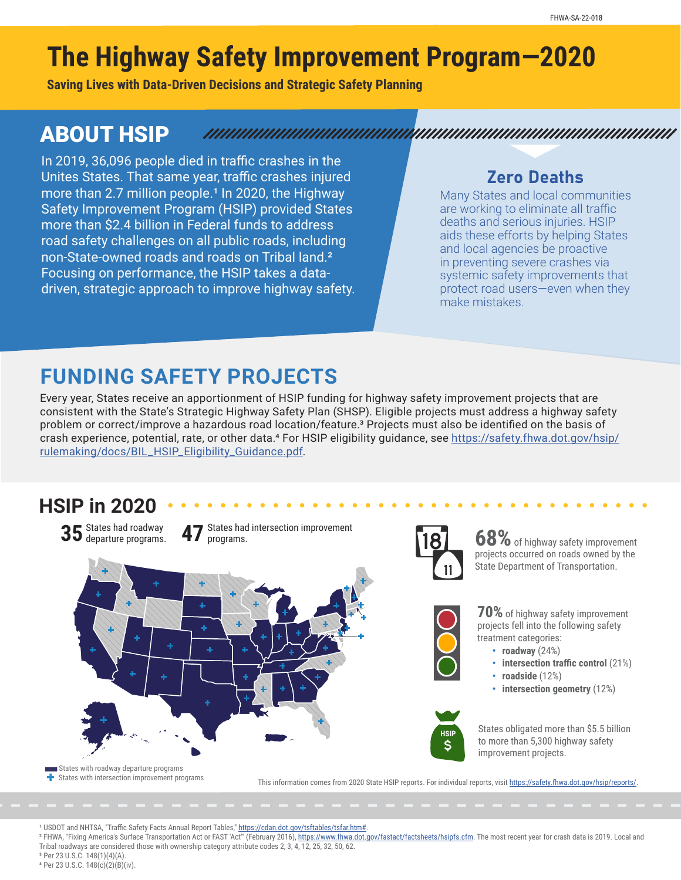# **The Highway Safety Improvement Program—2020**

**Saving Lives with Data-Driven Decisions and Strategic Safety Planning**

### ABOUT HSIP

In 2019, 36,096 people died in traffic crashes in the Unites States. That same year, traffic crashes injured more than 2.7 million people.<sup>1</sup> In 2020, the Highway Safety Improvement Program (HSIP) provided States more than \$2.4 billion in Federal funds to address road safety challenges on all public roads, including non-State-owned roads and roads on Tribal land.² Focusing on performance, the HSIP takes a datadriven, strategic approach to improve highway safety.

#### Zero Deaths

Many States and local communities are working to eliminate all traffic deaths and serious injuries. HSIP aids these efforts by helping States and local agencies be proactive in preventing severe crashes via systemic safety improvements that protect road users—even when they make mistakes.

## **FUNDING SAFETY PROJECTS**

Every year, States receive an apportionment of HSIP funding for highway safety improvement projects that are consistent with the State's Strategic Highway Safety Plan (SHSP). Eligible projects must address a highway safety problem or correct/improve a hazardous road location/feature.³ Projects must also be identified on the basis of crash experience, potential, rate, or other data.<sup>4</sup> For HSIP eligibility guidance, see [https://safety.fhwa.dot.gov/hsip/](https://safety.fhwa.dot.gov/hsip/rulemaking/docs/BIL_HSIP_Eligibility_Guidance.pdf) [rulemaking/docs/BIL\\_HSIP\\_Eligibility\\_Guidance.pdf](https://safety.fhwa.dot.gov/hsip/rulemaking/docs/BIL_HSIP_Eligibility_Guidance.pdf).

#### **HSIP in 2020**





**68%**of highway safety improvement projects occurred on roads owned by the State Department of Transportation.



**70%**of highway safety improvement projects fell into the following safety treatment categories:

- **roadway** (24%)
- **intersection traffic control** (21%)
- **roadside** (12%)
- **intersection geometry** (12%)



States obligated more than \$5.5 billion to more than 5,300 highway safety improvement projects.

States with roadway departure programs  $\overline{\textbf{B}}$  States with intersection improvement programs

This information comes from 2020 State HSIP reports. For individual reports, visit<https://safety.fhwa.dot.gov/hsip/reports/>.

<sup>1</sup> USDOT and NHTSA, "Traffic Safety Facts Annual Report Tables," <https://cdan.dot.gov/tsftables/tsfar.htm#>.

<sup>2</sup> FHWA, "Fixing America's Surface Transportation Act or FAST 'Act" (February 2016), [https://www.fhwa.dot.gov/fastact/factsheets/hsipfs.cfm.](https://www.fhwa.dot.gov/fastact/factsheets/hsipfs.cfm) The most recent year for crash data is 2019. Local and<br><sup>2</sup> FHWA, "Fixing America Tribal roadways are considered those with ownership category attribute codes 2, 3, 4, 12, 25, 32, 50, 62.

³ Per 23 U.S.C. 148(1)(4)(A). 4 Per 23 U.S.C. 148(c)(2)(B)(iv).